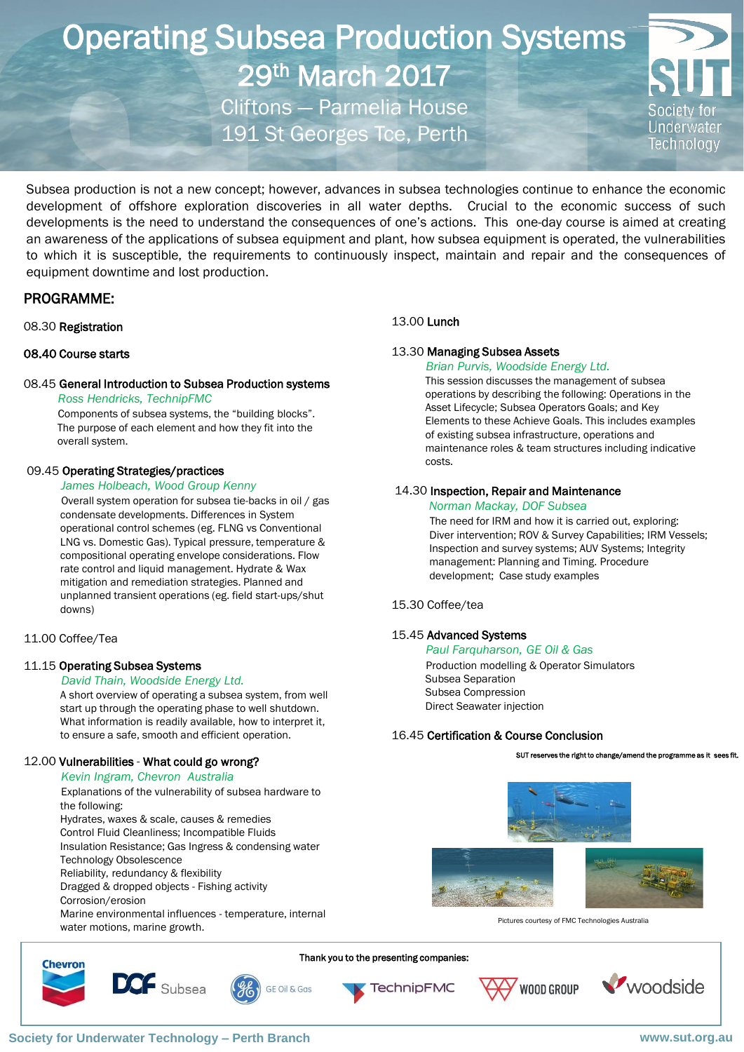# Operating Subsea Production Systems 29th March 2017 Cliftons — Parmelia House

191 St Georges Tce, Perth



Subsea production is not a new concept; however, advances in subsea technologies continue to enhance the economic development of offshore exploration discoveries in all water depths. Crucial to the economic success of such developments is the need to understand the consequences of one's actions. This one-day course is aimed at creating an awareness of the applications of subsea equipment and plant, how subsea equipment is operated, the vulnerabilities to which it is susceptible, the requirements to continuously inspect, maintain and repair and the consequences of equipment downtime and lost production.

## PROGRAMME:

#### 08.30 Registration

#### 08.40 Course starts

#### 08.45 General Introduction to Subsea Production systems  *Ross Hendricks, TechnipFMC*

Components of subsea systems, the "building blocks". The purpose of each element and how they fit into the overall system.

#### 09.45 Operating Strategies/practices

#### *James Holbeach, Wood Group Kenny*

Overall system operation for subsea tie-backs in oil / gas condensate developments. Differences in System operational control schemes (eg. FLNG vs Conventional LNG vs. Domestic Gas). Typical pressure, temperature & compositional operating envelope considerations. Flow rate control and liquid management. Hydrate & Wax mitigation and remediation strategies. Planned and unplanned transient operations (eg. field start-ups/shut downs)

#### 11.00 Coffee/Tea

#### 11.15 Operating Subsea Systems

#### *David Thain, Woodside Energy Ltd.*

A short overview of operating a subsea system, from well start up through the operating phase to well shutdown. What information is readily available, how to interpret it, to ensure a safe, smooth and efficient operation.

#### 12.00 Vulnerabilities - What could go wrong?

#### *Kevin Ingram, Chevron Australia*

 Explanations of the vulnerability of subsea hardware to the following:

Hydrates, waxes & scale, causes & remedies

Control Fluid Cleanliness; Incompatible Fluids

Insulation Resistance; Gas Ingress & condensing water

 Technology Obsolescence Reliability, redundancy & flexibility

Dragged & dropped objects - Fishing activity

Corrosion/erosion

**Chevron** 

 Marine environmental influences - temperature, internal water motions, marine growth.

#### 13.00 Lunch

#### 13.30 Managing Subsea Assets

 *Brian Purvis, Woodside Energy Ltd.* This session discusses the management of subsea operations by describing the following: Operations in the Asset Lifecycle; Subsea Operators Goals; and Key Elements to these Achieve Goals. This includes examples of existing subsea infrastructure, operations and maintenance roles & team structures including indicative costs.

#### 14.30 Inspection, Repair and Maintenance

#### *Norman Mackay, DOF Subsea*

The need for IRM and how it is carried out, exploring: Diver intervention; ROV & Survey Capabilities; IRM Vessels; Inspection and survey systems; AUV Systems; Integrity management: Planning and Timing. Procedure development; Case study examples

#### 15.30 Coffee/tea

#### 15.45 Advanced Systems

 *Paul Farquharson, GE Oil & Gas*  Production modelling & Operator Simulators Subsea Separation Subsea Compression Direct Seawater injection

#### 16.45 Certification & Course Conclusion

SUT reserves the right to change/amend the programme as it



Pictures courtesy of FMC Technologies Australia

**TechnipFMC GE Oil & Gas** 

Thank you to the presenting companies:





DCF Subsea